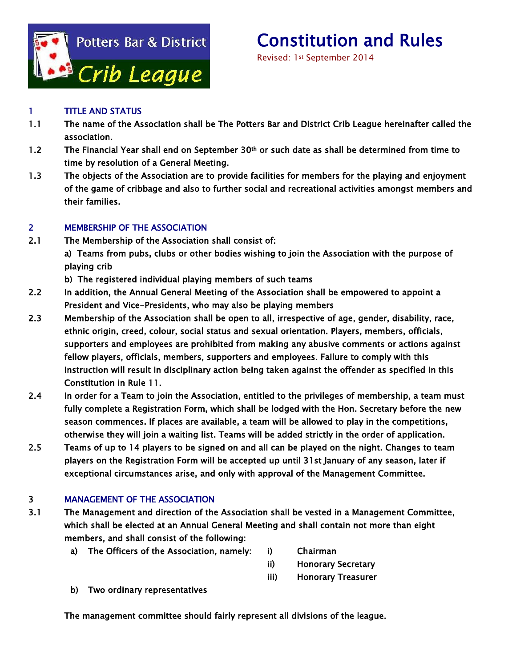

# Constitution and Rules<br>Revised: 1st September 2014

# 1 TITLE AND STATUS

- 1.1 The name of the Association shall be The Potters Bar and District Crib League hereinafter called the association.
- 1.2 The Financial Year shall end on September 30<sup>th</sup> or such date as shall be determined from time to time by resolution of a General Meeting.
- 1.3 The objects of the Association are to provide facilities for members for the playing and enjoyment of the game of cribbage and also to further social and recreational activities amongst members and their families.

# 2 MEMBERSHIP OF THE ASSOCIATION

- 2.1 The Membership of the Association shall consist of: a) Teams from pubs, clubs or other bodies wishing to join the Association with the purpose of playing crib
	- b) The registered individual playing members of such teams
- 2.2 In addition, the Annual General Meeting of the Association shall be empowered to appoint a President and Vice-Presidents, who may also be playing members
- 2.3 Membership of the Association shall be open to all, irrespective of age, gender, disability, race, ethnic origin, creed, colour, social status and sexual orientation. Players, members, officials, supporters and employees are prohibited from making any abusive comments or actions against fellow players, officials, members, supporters and employees. Failure to comply with this instruction will result in disciplinary action being taken against the offender as specified in this Constitution in Rule 11.
- 2.4 In order for a Team to join the Association, entitled to the privileges of membership, a team must fully complete a Registration Form, which shall be lodged with the Hon. Secretary before the new season commences. If places are available, a team will be allowed to play in the competitions, otherwise they will join a waiting list. Teams will be added strictly in the order of application.
- 2.5 Teams of up to 14 players to be signed on and all can be played on the night. Changes to team players on the Registration Form will be accepted up until 31st January of any season, later if exceptional circumstances arise, and only with approval of the Management Committee.

# 3 MANAGEMENT OF THE ASSOCIATION

- 3.1 The Management and direction of the Association shall be vested in a Management Committee, which shall be elected at an Annual General Meeting and shall contain not more than eight members, and shall consist of the following:
	- a) The Officers of the Association, namely: i) Chairman
		- ii) Honorary Secretary
		- iii) Honorary Treasurer
	- b) Two ordinary representatives

The management committee should fairly represent all divisions of the league.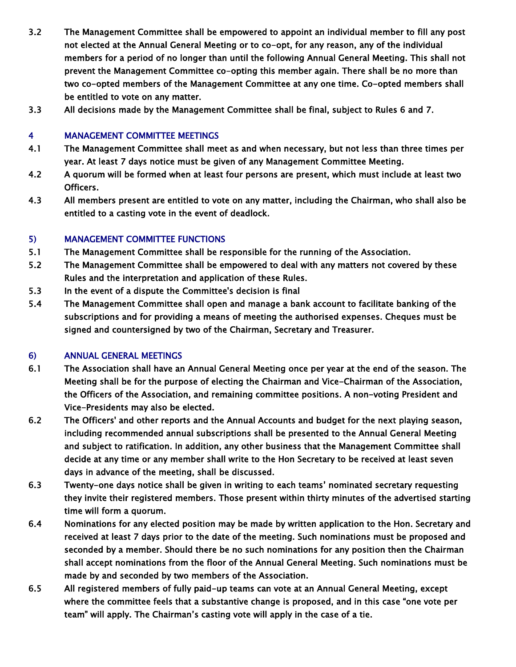- 3.2 The Management Committee shall be empowered to appoint an individual member to fill any post not elected at the Annual General Meeting or to co-opt, for any reason, any of the individual members for a period of no longer than until the following Annual General Meeting. This shall not prevent the Management Committee co-opting this member again. There shall be no more than two co-opted members of the Management Committee at any one time. Co-opted members shall be entitled to vote on any matter.
- 3.3 All decisions made by the Management Committee shall be final, subject to Rules 6 and 7.

#### 4 MANAGEMENT COMMITTEE MEETINGS

- 4.1 The Management Committee shall meet as and when necessary, but not less than three times per year. At least 7 days notice must be given of any Management Committee Meeting.
- 4.2 A quorum will be formed when at least four persons are present, which must include at least two Officers.
- 4.3 All members present are entitled to vote on any matter, including the Chairman, who shall also be entitled to a casting vote in the event of deadlock.

#### 5) MANAGEMENT COMMITTEE FUNCTIONS

- 5.1 The Management Committee shall be responsible for the running of the Association.
- 5.2 The Management Committee shall be empowered to deal with any matters not covered by these Rules and the interpretation and application of these Rules.
- 5.3 In the event of a dispute the Committee's decision is final
- 5.4 The Management Committee shall open and manage a bank account to facilitate banking of the subscriptions and for providing a means of meeting the authorised expenses. Cheques must be signed and countersigned by two of the Chairman, Secretary and Treasurer.

#### 6) ANNUAL GENERAL MEETINGS

- 6.1 The Association shall have an Annual General Meeting once per year at the end of the season. The Meeting shall be for the purpose of electing the Chairman and Vice-Chairman of the Association, the Officers of the Association, and remaining committee positions. A non-voting President and Vice-Presidents may also be elected.
- 6.2 The Officers' and other reports and the Annual Accounts and budget for the next playing season, including recommended annual subscriptions shall be presented to the Annual General Meeting and subject to ratification. In addition, any other business that the Management Committee shall decide at any time or any member shall write to the Hon Secretary to be received at least seven days in advance of the meeting, shall be discussed.
- 6.3 Twenty-one days notice shall be given in writing to each teams' nominated secretary requesting they invite their registered members. Those present within thirty minutes of the advertised starting time will form a quorum.
- 6.4 Nominations for any elected position may be made by written application to the Hon. Secretary and received at least 7 days prior to the date of the meeting. Such nominations must be proposed and seconded by a member. Should there be no such nominations for any position then the Chairman shall accept nominations from the floor of the Annual General Meeting. Such nominations must be made by and seconded by two members of the Association.
- 6.5 All registered members of fully paid-up teams can vote at an Annual General Meeting, except where the committee feels that a substantive change is proposed, and in this case "one vote per team" will apply. The Chairman's casting vote will apply in the case of a tie.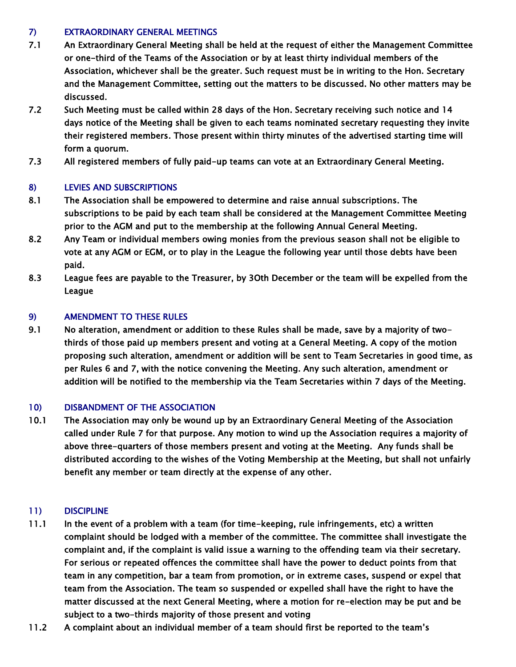#### 7) EXTRAORDINARY GENERAL MEETINGS

- 7.1 An Extraordinary General Meeting shall be held at the request of either the Management Committee or one-third of the Teams of the Association or by at least thirty individual members of the Association, whichever shall be the greater. Such request must be in writing to the Hon. Secretary and the Management Committee, setting out the matters to be discussed. No other matters may be discussed.
- 7.2 Such Meeting must be called within 28 days of the Hon. Secretary receiving such notice and 14 days notice of the Meeting shall be given to each teams nominated secretary requesting they invite their registered members. Those present within thirty minutes of the advertised starting time will form a quorum.
- 7.3 All registered members of fully paid-up teams can vote at an Extraordinary General Meeting.

# 8) LEVIES AND SUBSCRIPTIONS

- 8.1 The Association shall be empowered to determine and raise annual subscriptions. The subscriptions to be paid by each team shall be considered at the Management Committee Meeting prior to the AGM and put to the membership at the following Annual General Meeting.
- 8.2 Any Team or individual members owing monies from the previous season shall not be eligible to vote at any AGM or EGM, or to play in the League the following year until those debts have been paid.
- 8.3 League fees are payable to the Treasurer, by 3Oth December or the team will be expelled from the League

#### 9) AMENDMENT TO THESE RULES

9.1 No alteration, amendment or addition to these Rules shall be made, save by a majority of twothirds of those paid up members present and voting at a General Meeting. A copy of the motion proposing such alteration, amendment or addition will be sent to Team Secretaries in good time, as per Rules 6 and 7, with the notice convening the Meeting. Any such alteration, amendment or addition will be notified to the membership via the Team Secretaries within 7 days of the Meeting.

#### 10) DISBANDMENT OF THE ASSOCIATION

10.1 The Association may only be wound up by an Extraordinary General Meeting of the Association called under Rule 7 for that purpose. Any motion to wind up the Association requires a majority of above three-quarters of those members present and voting at the Meeting. Any funds shall be distributed according to the wishes of the Voting Membership at the Meeting, but shall not unfairly benefit any member or team directly at the expense of any other.

# 11) DISCIPLINE

- 11.1 In the event of a problem with a team (for time-keeping, rule infringements, etc) a written complaint should be lodged with a member of the committee. The committee shall investigate the complaint and, if the complaint is valid issue a warning to the offending team via their secretary. For serious or repeated offences the committee shall have the power to deduct points from that team in any competition, bar a team from promotion, or in extreme cases, suspend or expel that team from the Association. The team so suspended or expelled shall have the right to have the matter discussed at the next General Meeting, where a motion for re-election may be put and be subject to a two-thirds majority of those present and voting
- 11.2 A complaint about an individual member of a team should first be reported to the team's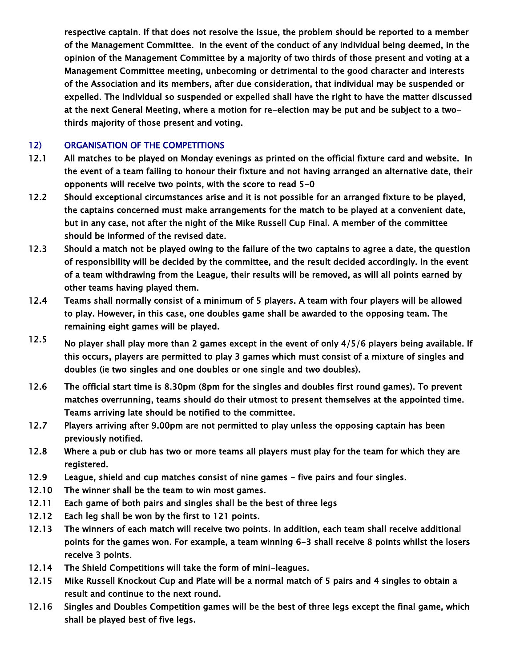respective captain. If that does not resolve the issue, the problem should be reported to a member of the Management Committee. In the event of the conduct of any individual being deemed, in the opinion of the Management Committee by a majority of two thirds of those present and voting at a Management Committee meeting, unbecoming or detrimental to the good character and interests of the Association and its members, after due consideration, that individual may be suspended or expelled. The individual so suspended or expelled shall have the right to have the matter discussed at the next General Meeting, where a motion for re-election may be put and be subject to a twothirds majority of those present and voting.

#### 12) ORGANISATION OF THE COMPETITIONS

- 12.1 All matches to be played on Monday evenings as printed on the official fixture card and website. In the event of a team failing to honour their fixture and not having arranged an alternative date, their opponents will receive two points, with the score to read 5-0
- 12.2 Should exceptional circumstances arise and it is not possible for an arranged fixture to be played, the captains concerned must make arrangements for the match to be played at a convenient date, but in any case, not after the night of the Mike Russell Cup Final. A member of the committee should be informed of the revised date.
- 12.3 Should a match not be played owing to the failure of the two captains to agree a date, the question of responsibility will be decided by the committee, and the result decided accordingly. In the event of a team withdrawing from the League, their results will be removed, as will all points earned by other teams having played them.
- 12.4 Teams shall normally consist of a minimum of 5 players. A team with four players will be allowed to play. However, in this case, one doubles game shall be awarded to the opposing team. The remaining eight games will be played.
- 12.5 No player shall play more than 2 games except in the event of only 4/5/6 players being available. If this occurs, players are permitted to play 3 games which must consist of a mixture of singles and doubles (ie two singles and one doubles or one single and two doubles).
- 12.6 The official start time is 8.30pm (8pm for the singles and doubles first round games). To prevent matches overrunning, teams should do their utmost to present themselves at the appointed time. Teams arriving late should be notified to the committee.
- 12.7 Players arriving after 9.00pm are not permitted to play unless the opposing captain has been previously notified.
- 12.8 Where a pub or club has two or more teams all players must play for the team for which they are registered.
- 12.9 League, shield and cup matches consist of nine games five pairs and four singles.
- 12.10 The winner shall be the team to win most games.
- 12.11 Each game of both pairs and singles shall be the best of three legs
- 12.12 Each leg shall be won by the first to 121 points.
- 12.13 The winners of each match will receive two points. In addition, each team shall receive additional points for the games won. For example, a team winning 6-3 shall receive 8 points whilst the losers receive 3 points.
- 12.14 The Shield Competitions will take the form of mini-leagues.
- 12.15 Mike Russell Knockout Cup and Plate will be a normal match of 5 pairs and 4 singles to obtain a result and continue to the next round.
- 12.16 Singles and Doubles Competition games will be the best of three legs except the final game, which shall be played best of five legs.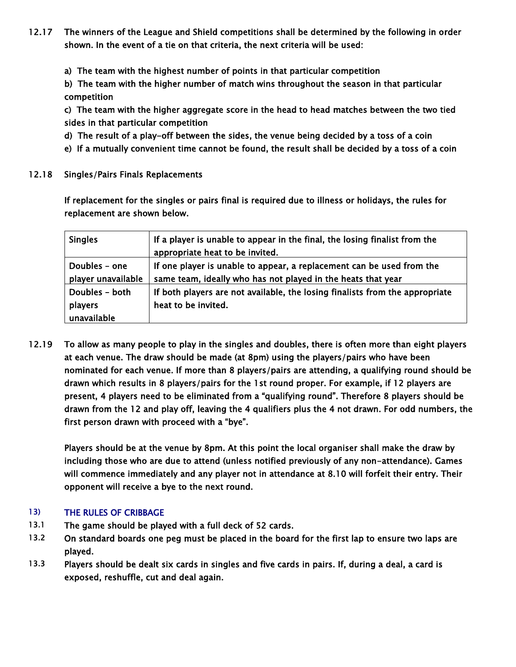- 12.17 The winners of the League and Shield competitions shall be determined by the following in order shown. In the event of a tie on that criteria, the next criteria will be used:
	- a) The team with the highest number of points in that particular competition

b) The team with the higher number of match wins throughout the season in that particular competition

c) The team with the higher aggregate score in the head to head matches between the two tied sides in that particular competition

- d) The result of a play-off between the sides, the venue being decided by a toss of a coin
- e) If a mutually convenient time cannot be found, the result shall be decided by a toss of a coin
- 12.18 Singles/Pairs Finals Replacements

If replacement for the singles or pairs final is required due to illness or holidays, the rules for replacement are shown below.

| <b>Singles</b>     | If a player is unable to appear in the final, the losing finalist from the<br>appropriate heat to be invited. |
|--------------------|---------------------------------------------------------------------------------------------------------------|
| Doubles - one      | If one player is unable to appear, a replacement can be used from the                                         |
| player unavailable | same team, ideally who has not played in the heats that year                                                  |
| Doubles - both     | If both players are not available, the losing finalists from the appropriate                                  |
| players            | heat to be invited.                                                                                           |
| unavailable        |                                                                                                               |

12.19 To allow as many people to play in the singles and doubles, there is often more than eight players at each venue. The draw should be made (at 8pm) using the players/pairs who have been nominated for each venue. If more than 8 players/pairs are attending, a qualifying round should be drawn which results in 8 players/pairs for the 1st round proper. For example, if 12 players are present, 4 players need to be eliminated from a "qualifying round". Therefore 8 players should be drawn from the 12 and play off, leaving the 4 qualifiers plus the 4 not drawn. For odd numbers, the first person drawn with proceed with a "bye".

Players should be at the venue by 8pm. At this point the local organiser shall make the draw by including those who are due to attend (unless notified previously of any non-attendance). Games will commence immediately and any player not in attendance at 8.10 will forfeit their entry. Their opponent will receive a bye to the next round.

# 13) THE RULES OF CRIBBAGE

- 13.1 The game should be played with a full deck of 52 cards.
- 13.2 On standard boards one peg must be placed in the board for the first lap to ensure two laps are played.
- 13.3 Players should be dealt six cards in singles and five cards in pairs. If, during a deal, a card is exposed, reshuffle, cut and deal again.